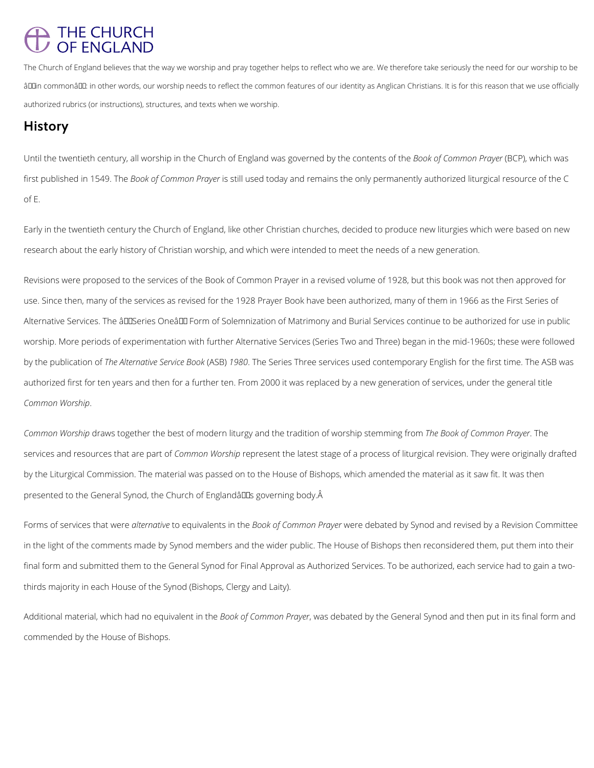## THE CHURCH<br>OF ENGLAND

The Church of England believes that the way we worship and pray together helps to reflect who we are. We therefore take seriously the need for our worship to be âD In commonâ D I: in other words, our worship needs to reflect the common features of our identity as Anglican Christians. It is for this reason that we use officially authorized rubrics (or instructions), structures, and texts when we worship.

## **History**

Until the twentieth century, all worship in the Church of England was governed by the contents of the *Book of Common Prayer* (BCP), which was first published in 1549. The *Book of Common Prayer* is still used today and remains the only permanently authorized liturgical resource of the C of E.

Early in the twentieth century the Church of England, like other Christian churches, decided to produce new liturgies which were based on new research about the early history of Christian worship, and which were intended to meet the needs of a new generation.

*Common Worship* draws together the best of modern liturgy and the tradition of worship stemming from *The Book of Common Prayer*. The services and resources that are part of *Common Worship* represent the latest stage of a process of liturgical revision. They were originally drafted by the Liturgical Commission. The material was passed on to the House of Bishops, which amended the material as it saw fit. It was then presented to the General Synod, the Church of Englandâll as governing body. A

Revisions were proposed to the services of the Book of Common Prayer in a revised volume of 1928, but this book was not then approved for use. Since then, many of the services as revised for the 1928 Prayer Book have been authorized, many of them in 1966 as the First Series of Alternative Services. The âDISeries Oneâ DI Form of Solemnization of Matrimony and Burial Services continue to be authorized for use in public worship. More periods of experimentation with further Alternative Services (Series Two and Three) began in the mid-1960s; these were followed by the publication of *The Alternative Service Book* (ASB) *1980*. The Series Three services used contemporary English for the first time. The ASB was authorized first for ten years and then for a further ten. From 2000 it was replaced by a new generation of services, under the general title *Common Worship*.

Forms of services that were *alternative* to equivalents in the *Book of Common Prayer* were debated by Synod and revised by a Revision Committee in the light of the comments made by Synod members and the wider public. The House of Bishops then reconsidered them, put them into their final form and submitted them to the General Synod for Final Approval as Authorized Services. To be authorized, each service had to gain a two-

thirds majority in each House of the Synod (Bishops, Clergy and Laity).

Additional material, which had no equivalent in the *Book of Common Prayer*, was debated by the General Synod and then put in its final form and

commended by the House of Bishops.